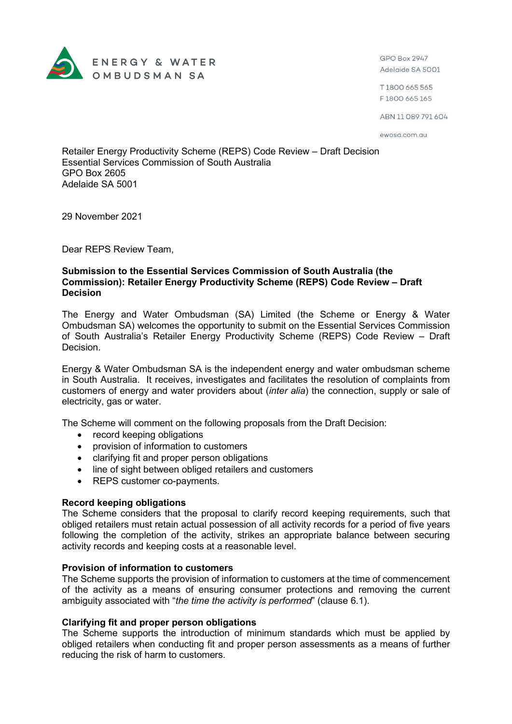

GPO Box 2947 Adelaide SA 5001

T1800 665 565 F1800 665 165

ABN 11089791604

ewosa.com.au

Retailer Energy Productivity Scheme (REPS) Code Review – Draft Decision Essential Services Commission of South Australia GPO Box 2605 Adelaide SA 5001

29 November 2021

Dear REPS Review Team,

# **Submission to the Essential Services Commission of South Australia (the Commission): Retailer Energy Productivity Scheme (REPS) Code Review – Draft Decision**

The Energy and Water Ombudsman (SA) Limited (the Scheme or Energy & Water Ombudsman SA) welcomes the opportunity to submit on the Essential Services Commission of South Australia's Retailer Energy Productivity Scheme (REPS) Code Review – Draft Decision.

Energy & Water Ombudsman SA is the independent energy and water ombudsman scheme in South Australia. It receives, investigates and facilitates the resolution of complaints from customers of energy and water providers about (*inter alia*) the connection, supply or sale of electricity, gas or water.

The Scheme will comment on the following proposals from the Draft Decision:

- record keeping obligations
- provision of information to customers
- clarifying fit and proper person obligations
- line of sight between obliged retailers and customers
- REPS customer co-payments.

### **Record keeping obligations**

The Scheme considers that the proposal to clarify record keeping requirements, such that obliged retailers must retain actual possession of all activity records for a period of five years following the completion of the activity, strikes an appropriate balance between securing activity records and keeping costs at a reasonable level.

### **Provision of information to customers**

The Scheme supports the provision of information to customers at the time of commencement of the activity as a means of ensuring consumer protections and removing the current ambiguity associated with "*the time the activity is performed*" (clause 6.1).

### **Clarifying fit and proper person obligations**

The Scheme supports the introduction of minimum standards which must be applied by obliged retailers when conducting fit and proper person assessments as a means of further reducing the risk of harm to customers.